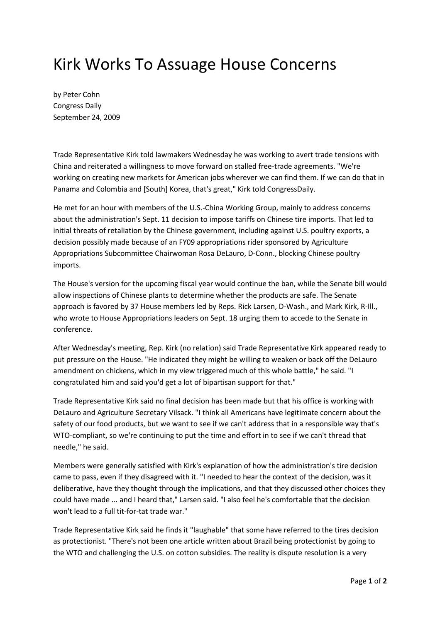## Kirk Works To Assuage House Concerns

by Peter Cohn Congress Daily September 24, 2009

Trade Representative Kirk told lawmakers Wednesday he was working to avert trade tensions with China and reiterated a willingness to move forward on stalled free-trade agreements. "We're working on creating new markets for American jobs wherever we can find them. If we can do that in Panama and Colombia and [South] Korea, that's great," Kirk told CongressDaily.

He met for an hour with members of the U.S.-China Working Group, mainly to address concerns about the administration's Sept. 11 decision to impose tariffs on Chinese tire imports. That led to initial threats of retaliation by the Chinese government, including against U.S. poultry exports, a decision possibly made because of an FY09 appropriations rider sponsored by Agriculture Appropriations Subcommittee Chairwoman Rosa DeLauro, D-Conn., blocking Chinese poultry imports.

The House's version for the upcoming fiscal year would continue the ban, while the Senate bill would allow inspections of Chinese plants to determine whether the products are safe. The Senate approach is favored by 37 House members led by Reps. Rick Larsen, D-Wash., and Mark Kirk, R-Ill., who wrote to House Appropriations leaders on Sept. 18 urging them to accede to the Senate in conference.

After Wednesday's meeting, Rep. Kirk (no relation) said Trade Representative Kirk appeared ready to put pressure on the House. "He indicated they might be willing to weaken or back off the DeLauro amendment on chickens, which in my view triggered much of this whole battle," he said. "I congratulated him and said you'd get a lot of bipartisan support for that."

Trade Representative Kirk said no final decision has been made but that his office is working with DeLauro and Agriculture Secretary Vilsack. "I think all Americans have legitimate concern about the safety of our food products, but we want to see if we can't address that in a responsible way that's WTO-compliant, so we're continuing to put the time and effort in to see if we can't thread that needle," he said.

Members were generally satisfied with Kirk's explanation of how the administration's tire decision came to pass, even if they disagreed with it. "I needed to hear the context of the decision, was it deliberative, have they thought through the implications, and that they discussed other choices they could have made ... and I heard that," Larsen said. "I also feel he's comfortable that the decision won't lead to a full tit-for-tat trade war."

Trade Representative Kirk said he finds it "laughable" that some have referred to the tires decision as protectionist. "There's not been one article written about Brazil being protectionist by going to the WTO and challenging the U.S. on cotton subsidies. The reality is dispute resolution is a very